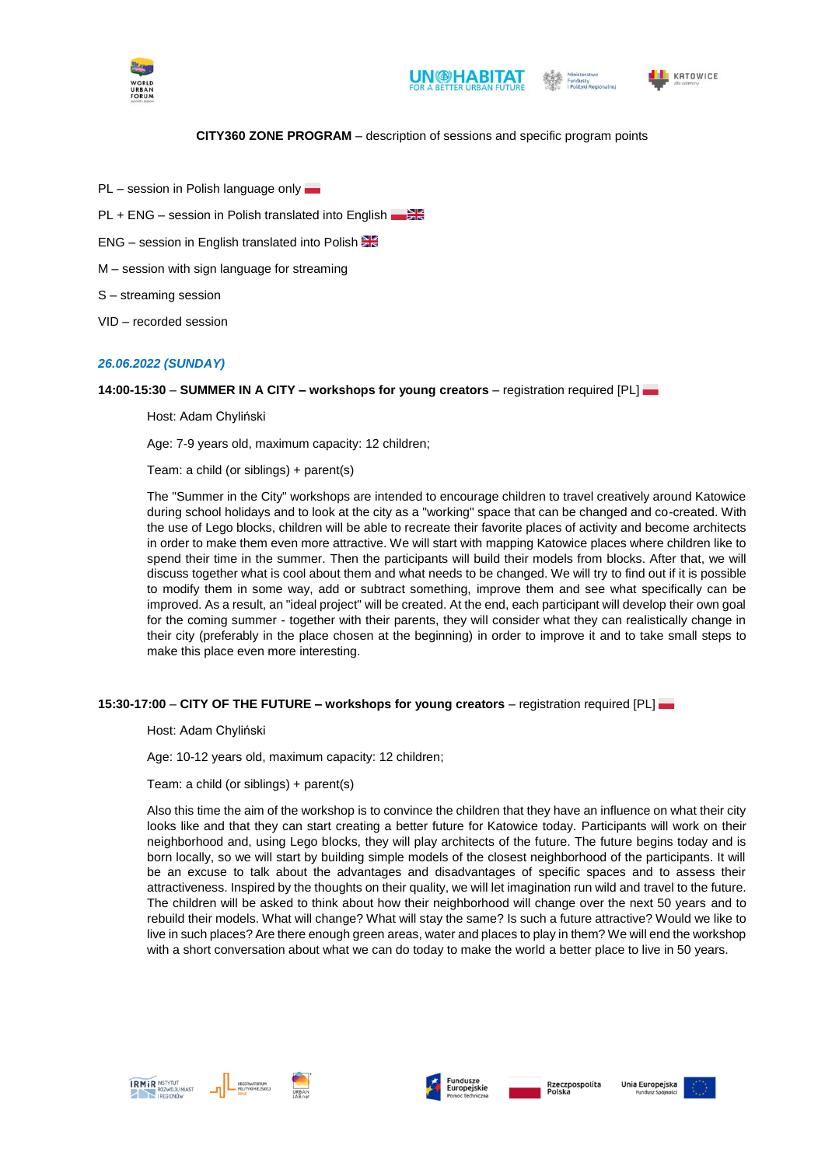





## KATOWICE

## **CITY360 ZONE PROGRAM** – description of sessions and specific program points

- PL session in Polish language only
- PL + ENG session in Polish translated into English
- ENG session in English translated into Polish
- M session with sign language for streaming
- S streaming session
- VID recorded session

#### *26.06.2022 (SUNDAY)*

**14:00-15:30** – **SUMMER IN A CITY – workshops for young creators** *–* registration required [PL]

Host: Adam Chyliński

Age: 7-9 years old, maximum capacity: 12 children;

Team: a child (or siblings) + parent(s)

The "Summer in the City" workshops are intended to encourage children to travel creatively around Katowice during school holidays and to look at the city as a "working" space that can be changed and co-created. With the use of Lego blocks, children will be able to recreate their favorite places of activity and become architects in order to make them even more attractive. We will start with mapping Katowice places where children like to spend their time in the summer. Then the participants will build their models from blocks. After that, we will discuss together what is cool about them and what needs to be changed. We will try to find out if it is possible to modify them in some way, add or subtract something, improve them and see what specifically can be improved. As a result, an "ideal project" will be created. At the end, each participant will develop their own goal for the coming summer - together with their parents, they will consider what they can realistically change in their city (preferably in the place chosen at the beginning) in order to improve it and to take small steps to make this place even more interesting.

## **15:30-17:00** – **CITY OF THE FUTURE – workshops for young creators** *–* registration required [PL]

Host: Adam Chyliński

Age: 10-12 years old, maximum capacity: 12 children;

Team: a child (or siblings) + parent(s)

Also this time the aim of the workshop is to convince the children that they have an influence on what their city looks like and that they can start creating a better future for Katowice today. Participants will work on their neighborhood and, using Lego blocks, they will play architects of the future. The future begins today and is born locally, so we will start by building simple models of the closest neighborhood of the participants. It will be an excuse to talk about the advantages and disadvantages of specific spaces and to assess their attractiveness. Inspired by the thoughts on their quality, we will let imagination run wild and travel to the future. The children will be asked to think about how their neighborhood will change over the next 50 years and to rebuild their models. What will change? What will stay the same? Is such a future attractive? Would we like to live in such places? Are there enough green areas, water and places to play in them? We will end the workshop with a short conversation about what we can do today to make the world a better place to live in 50 years.







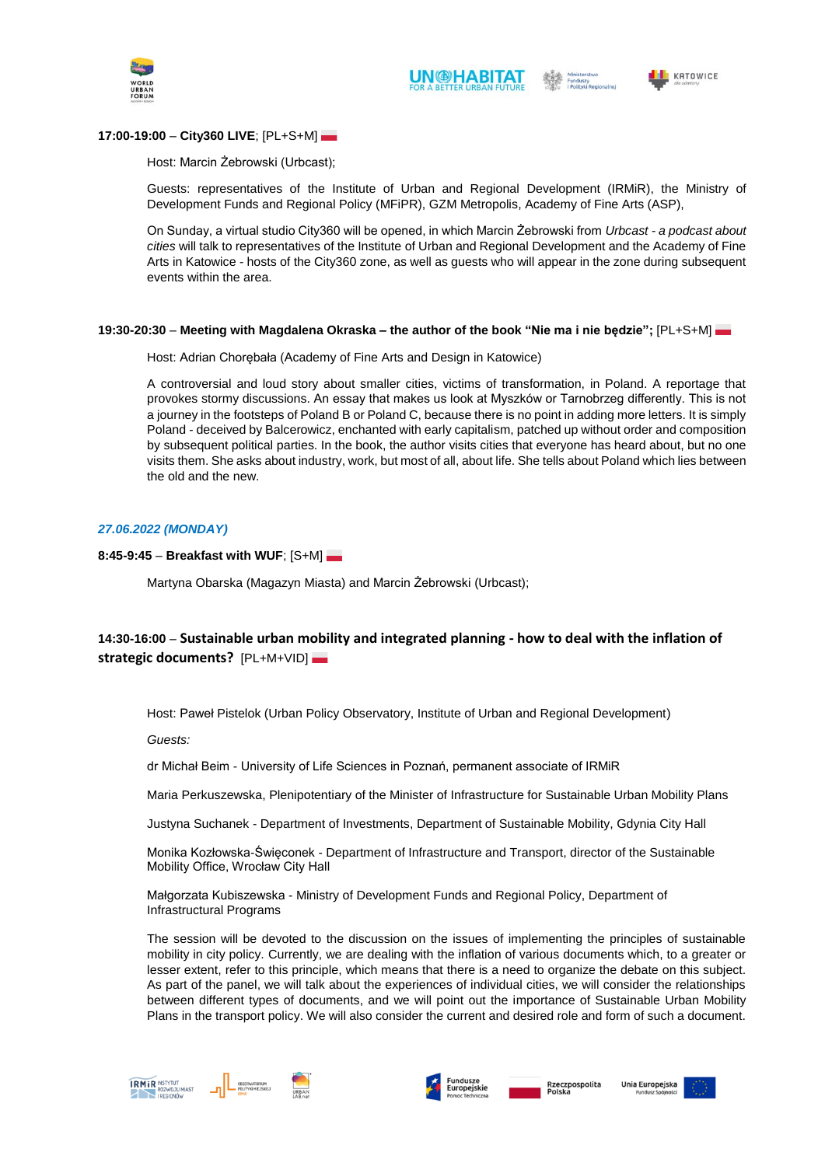





## **17:00-19:00** – **City360 LIVE**; [PL+S+M]

#### Host: Marcin Żebrowski (Urbcast);

Guests: representatives of the Institute of Urban and Regional Development (IRMiR), the Ministry of Development Funds and Regional Policy (MFiPR), GZM Metropolis, Academy of Fine Arts (ASP),

On Sunday, a virtual studio City360 will be opened, in which Marcin Żebrowski from *Urbcast - a podcast about cities* will talk to representatives of the Institute of Urban and Regional Development and the Academy of Fine Arts in Katowice - hosts of the City360 zone, as well as guests who will appear in the zone during subsequent events within the area.

#### **19:30-20:30** – **Meeting with Magdalena Okraska – the author of the book "Nie ma i nie będzie";** [PL+S+M]

Host: Adrian Chorębała (Academy of Fine Arts and Design in Katowice)

A controversial and loud story about smaller cities, victims of transformation, in Poland. A reportage that provokes stormy discussions. An essay that makes us look at Myszków or Tarnobrzeg differently. This is not a journey in the footsteps of Poland B or Poland C, because there is no point in adding more letters. It is simply Poland - deceived by Balcerowicz, enchanted with early capitalism, patched up without order and composition by subsequent political parties. In the book, the author visits cities that everyone has heard about, but no one visits them. She asks about industry, work, but most of all, about life. She tells about Poland which lies between the old and the new.

## *27.06.2022 (MONDAY)*

## **8:45-9:45** – **Breakfast with WUF**; [S+M]

Martyna Obarska (Magazyn Miasta) and Marcin Żebrowski (Urbcast);

# **14:30-16:00** – **Sustainable urban mobility and integrated planning - how to deal with the inflation of strategic documents?** [PL+M+VID]

Host: Paweł Pistelok (Urban Policy Observatory, Institute of Urban and Regional Development)

*Guests:*

dr Michał Beim - University of Life Sciences in Poznań, permanent associate of IRMiR

Maria Perkuszewska, Plenipotentiary of the Minister of Infrastructure for Sustainable Urban Mobility Plans

Justyna Suchanek - Department of Investments, Department of Sustainable Mobility, Gdynia City Hall

Monika Kozłowska-Święconek - Department of Infrastructure and Transport, director of the Sustainable Mobility Office, Wrocław City Hall

Małgorzata Kubiszewska - Ministry of Development Funds and Regional Policy, Department of Infrastructural Programs

The session will be devoted to the discussion on the issues of implementing the principles of sustainable mobility in city policy. Currently, we are dealing with the inflation of various documents which, to a greater or lesser extent, refer to this principle, which means that there is a need to organize the debate on this subject. As part of the panel, we will talk about the experiences of individual cities, we will consider the relationships between different types of documents, and we will point out the importance of Sustainable Urban Mobility Plans in the transport policy. We will also consider the current and desired role and form of such a document.

usze<br>pejskie





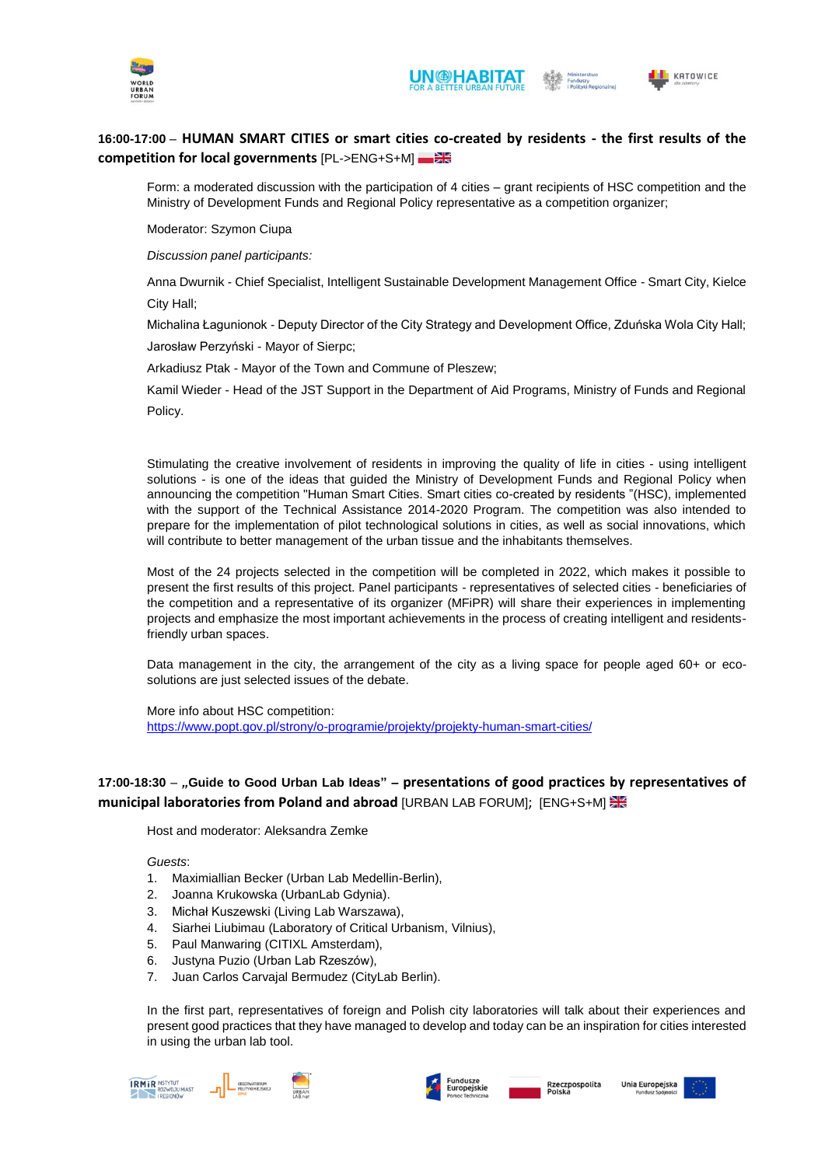



# **16:00-17:00** – **HUMAN SMART CITIES or smart cities co-created by residents - the first results of the competition for local governments** [PL->ENG+S+M]

Form: a moderated discussion with the participation of 4 cities – grant recipients of HSC competition and the Ministry of Development Funds and Regional Policy representative as a competition organizer;

Moderator: Szymon Ciupa

*Discussion panel participants:*

Anna Dwurnik - Chief Specialist, Intelligent Sustainable Development Management Office - Smart City, Kielce City Hall;

Michalina Łagunionok - Deputy Director of the City Strategy and Development Office, Zduńska Wola City Hall; Jarosław Perzyński - Mayor of Sierpc;

Arkadiusz Ptak - Mayor of the Town and Commune of Pleszew;

Kamil Wieder - Head of the JST Support in the Department of Aid Programs, Ministry of Funds and Regional Policy.

Stimulating the creative involvement of residents in improving the quality of life in cities - using intelligent solutions - is one of the ideas that guided the Ministry of Development Funds and Regional Policy when announcing the competition "Human Smart Cities. Smart cities co-created by residents "(HSC), implemented with the support of the Technical Assistance 2014-2020 Program. The competition was also intended to prepare for the implementation of pilot technological solutions in cities, as well as social innovations, which will contribute to better management of the urban tissue and the inhabitants themselves.

Most of the 24 projects selected in the competition will be completed in 2022, which makes it possible to present the first results of this project. Panel participants - representatives of selected cities - beneficiaries of the competition and a representative of its organizer (MFiPR) will share their experiences in implementing projects and emphasize the most important achievements in the process of creating intelligent and residentsfriendly urban spaces.

Data management in the city, the arrangement of the city as a living space for people aged 60+ or ecosolutions are just selected issues of the debate.

More info about HSC competition: <https://www.popt.gov.pl/strony/o-programie/projekty/projekty-human-smart-cities/>

# **17:00-18:30** – *"***Guide to Good Urban Lab Ideas" – presentations of good practices by representatives of municipal laboratories from Poland and abroad** [URBAN LAB FORUM]; [ENG+S+M]

Host and moderator: Aleksandra Zemke

*Guests*:

- 1. Maximiallian Becker (Urban Lab Medellin-Berlin),
- 2. Joanna Krukowska (UrbanLab Gdynia).
- 3. Michał Kuszewski (Living Lab Warszawa),
- 4. Siarhei Liubimau (Laboratory of Critical Urbanism, Vilnius),
- 5. Paul Manwaring (CITIXL Amsterdam),
- 6. Justyna Puzio (Urban Lab Rzeszów),
- 7. Juan Carlos Carvajal Bermudez (CityLab Berlin).

In the first part, representatives of foreign and Polish city laboratories will talk about their experiences and present good practices that they have managed to develop and today can be an inspiration for cities interested in using the urban lab tool.







Rzeczpospolita<br>Polska

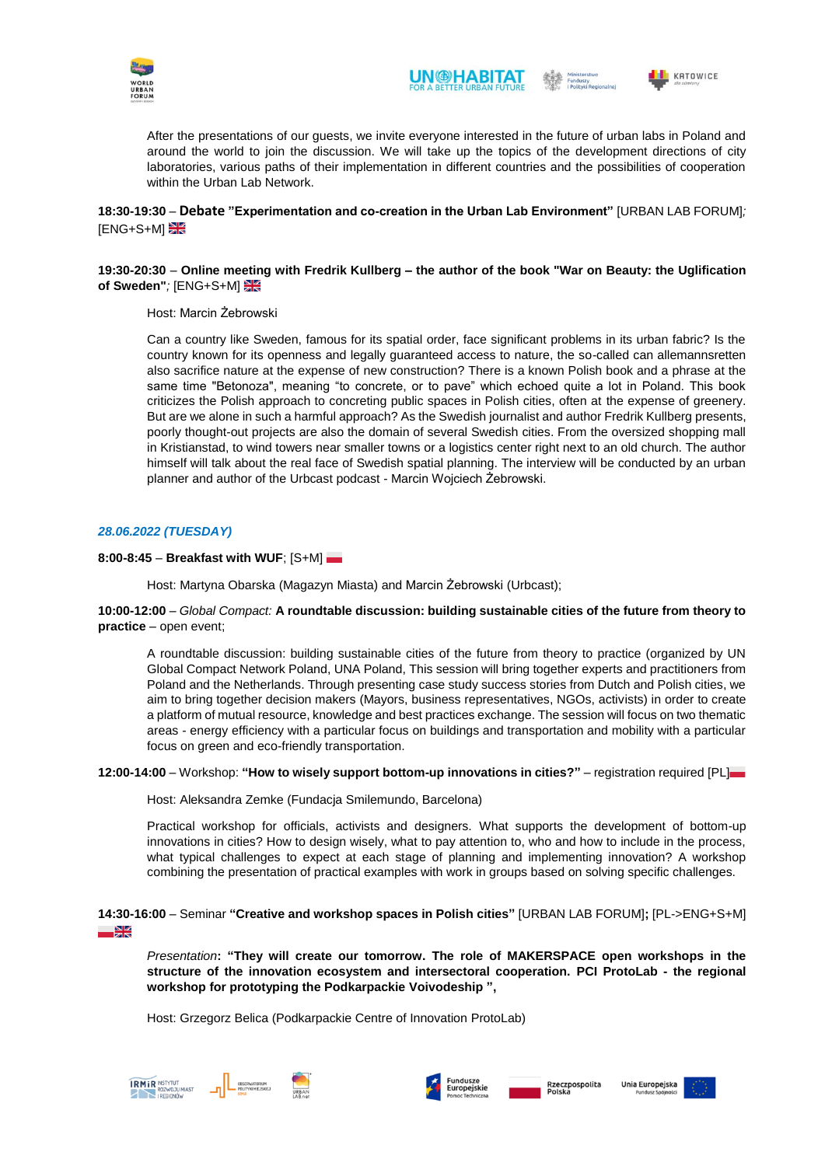





After the presentations of our guests, we invite everyone interested in the future of urban labs in Poland and around the world to join the discussion. We will take up the topics of the development directions of city laboratories, various paths of their implementation in different countries and the possibilities of cooperation within the Urban Lab Network.

## **18:30-19:30** – **Debate "Experimentation and co-creation in the Urban Lab Environment"** [URBAN LAB FORUM]*;* **ENG+S+MI**

## **19:30-20:30** – **Online meeting with Fredrik Kullberg – the author of the book "War on Beauty: the Uglification of Sweden"***;* [ENG+S+M]

## Host: Marcin Żebrowski

Can a country like Sweden, famous for its spatial order, face significant problems in its urban fabric? Is the country known for its openness and legally guaranteed access to nature, the so-called can allemannsretten also sacrifice nature at the expense of new construction? There is a known Polish book and a phrase at the same time "Betonoza", meaning "to concrete, or to pave" which echoed quite a lot in Poland. This book criticizes the Polish approach to concreting public spaces in Polish cities, often at the expense of greenery. But are we alone in such a harmful approach? As the Swedish journalist and author Fredrik Kullberg presents, poorly thought-out projects are also the domain of several Swedish cities. From the oversized shopping mall in Kristianstad, to wind towers near smaller towns or a logistics center right next to an old church. The author himself will talk about the real face of Swedish spatial planning. The interview will be conducted by an urban planner and author of the Urbcast podcast - Marcin Wojciech Żebrowski.

## *28.06.2022 (TUESDAY)*

## **8:00-8:45** – **Breakfast with WUF**; [S+M]

Host: Martyna Obarska (Magazyn Miasta) and Marcin Żebrowski (Urbcast);

## **10:00-12:00** – *Global Compact:* **A roundtable discussion: building sustainable cities of the future from theory to practice** – open event;

A roundtable discussion: building sustainable cities of the future from theory to practice (organized by UN Global Compact Network Poland, UNA Poland, This session will bring together experts and practitioners from Poland and the Netherlands. Through presenting case study success stories from Dutch and Polish cities, we aim to bring together decision makers (Mayors, business representatives, NGOs, activists) in order to create a platform of mutual resource, knowledge and best practices exchange. The session will focus on two thematic areas - energy efficiency with a particular focus on buildings and transportation and mobility with a particular focus on green and eco-friendly transportation.

## **12:00-14:00** – Workshop: **"How to wisely support bottom-up innovations in cities?"** *–* registration required [PL]

Host: Aleksandra Zemke (Fundacja Smilemundo, Barcelona)

Practical workshop for officials, activists and designers. What supports the development of bottom-up innovations in cities? How to design wisely, what to pay attention to, who and how to include in the process, what typical challenges to expect at each stage of planning and implementing innovation? A workshop combining the presentation of practical examples with work in groups based on solving specific challenges.

## **14:30-16:00** – Seminar **"Creative and workshop spaces in Polish cities"** [URBAN LAB FORUM]**;** [PL->ENG+S+M]  $\frac{N}{2}$

*Presentation***: "They will create our tomorrow. The role of MAKERSPACE open workshops in the structure of the innovation ecosystem and intersectoral cooperation. PCI ProtoLab - the regional workshop for prototyping the Podkarpackie Voivodeship ",**

Host: Grzegorz Belica (Podkarpackie Centre of Innovation ProtoLab)







usze<br>peiskie

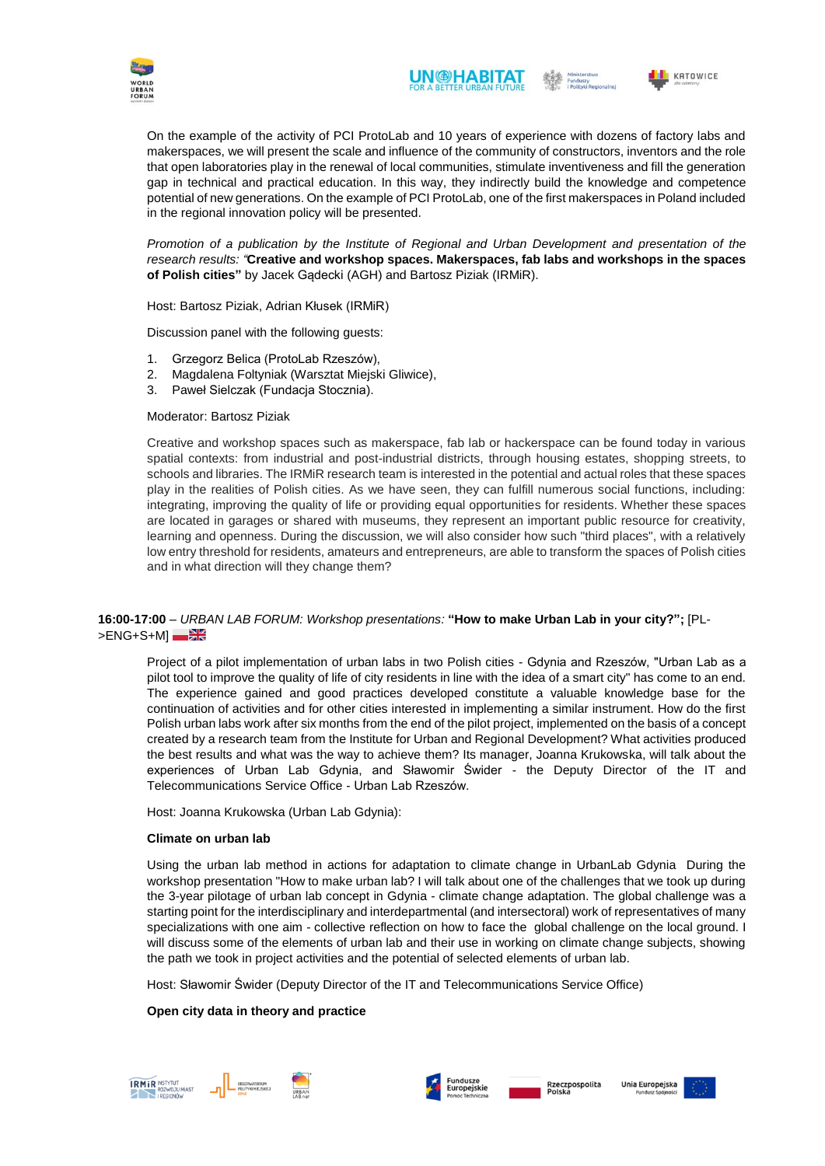



On the example of the activity of PCI ProtoLab and 10 years of experience with dozens of factory labs and makerspaces, we will present the scale and influence of the community of constructors, inventors and the role that open laboratories play in the renewal of local communities, stimulate inventiveness and fill the generation gap in technical and practical education. In this way, they indirectly build the knowledge and competence potential of new generations. On the example of PCI ProtoLab, one of the first makerspaces in Poland included in the regional innovation policy will be presented.

*Promotion of a publication by the Institute of Regional and Urban Development and presentation of the research results: "***Creative and workshop spaces. Makerspaces, fab labs and workshops in the spaces of Polish cities"** by Jacek Gądecki (AGH) and Bartosz Piziak (IRMiR).

Host: Bartosz Piziak, Adrian Kłusek (IRMiR)

Discussion panel with the following guests:

- 1. Grzegorz Belica (ProtoLab Rzeszów),
- 2. Magdalena Foltyniak (Warsztat Miejski Gliwice),
- 3. Paweł Sielczak (Fundacja Stocznia).

## Moderator: Bartosz Piziak

Creative and workshop spaces such as makerspace, fab lab or hackerspace can be found today in various spatial contexts: from industrial and post-industrial districts, through housing estates, shopping streets, to schools and libraries. The IRMiR research team is interested in the potential and actual roles that these spaces play in the realities of Polish cities. As we have seen, they can fulfill numerous social functions, including: integrating, improving the quality of life or providing equal opportunities for residents. Whether these spaces are located in garages or shared with museums, they represent an important public resource for creativity, learning and openness. During the discussion, we will also consider how such "third places", with a relatively low entry threshold for residents, amateurs and entrepreneurs, are able to transform the spaces of Polish cities and in what direction will they change them?

## **16:00-17:00** – *URBAN LAB FORUM: Workshop presentations:* **"How to make Urban Lab in your city?";** [PL- >ENG+S+MI

Project of a pilot implementation of urban labs in two Polish cities - Gdynia and Rzeszów, "Urban Lab as a pilot tool to improve the quality of life of city residents in line with the idea of a smart city" has come to an end. The experience gained and good practices developed constitute a valuable knowledge base for the continuation of activities and for other cities interested in implementing a similar instrument. How do the first Polish urban labs work after six months from the end of the pilot project, implemented on the basis of a concept created by a research team from the Institute for Urban and Regional Development? What activities produced the best results and what was the way to achieve them? Its manager, Joanna Krukowska, will talk about the experiences of Urban Lab Gdynia, and Sławomir Świder - the Deputy Director of the IT and Telecommunications Service Office - Urban Lab Rzeszów.

Host: Joanna Krukowska (Urban Lab Gdynia):

#### **Climate on urban lab**

Using the urban lab method in actions for adaptation to climate change in UrbanLab Gdynia During the workshop presentation "How to make urban lab? I will talk about one of the challenges that we took up during the 3-year pilotage of urban lab concept in Gdynia - climate change adaptation. The global challenge was a starting point for the interdisciplinary and interdepartmental (and intersectoral) work of representatives of many specializations with one aim - collective reflection on how to face the global challenge on the local ground. I will discuss some of the elements of urban lab and their use in working on climate change subjects, showing the path we took in project activities and the potential of selected elements of urban lab.

Host: Sławomir Świder (Deputy Director of the IT and Telecommunications Service Office)

## **Open city data in theory and practice**







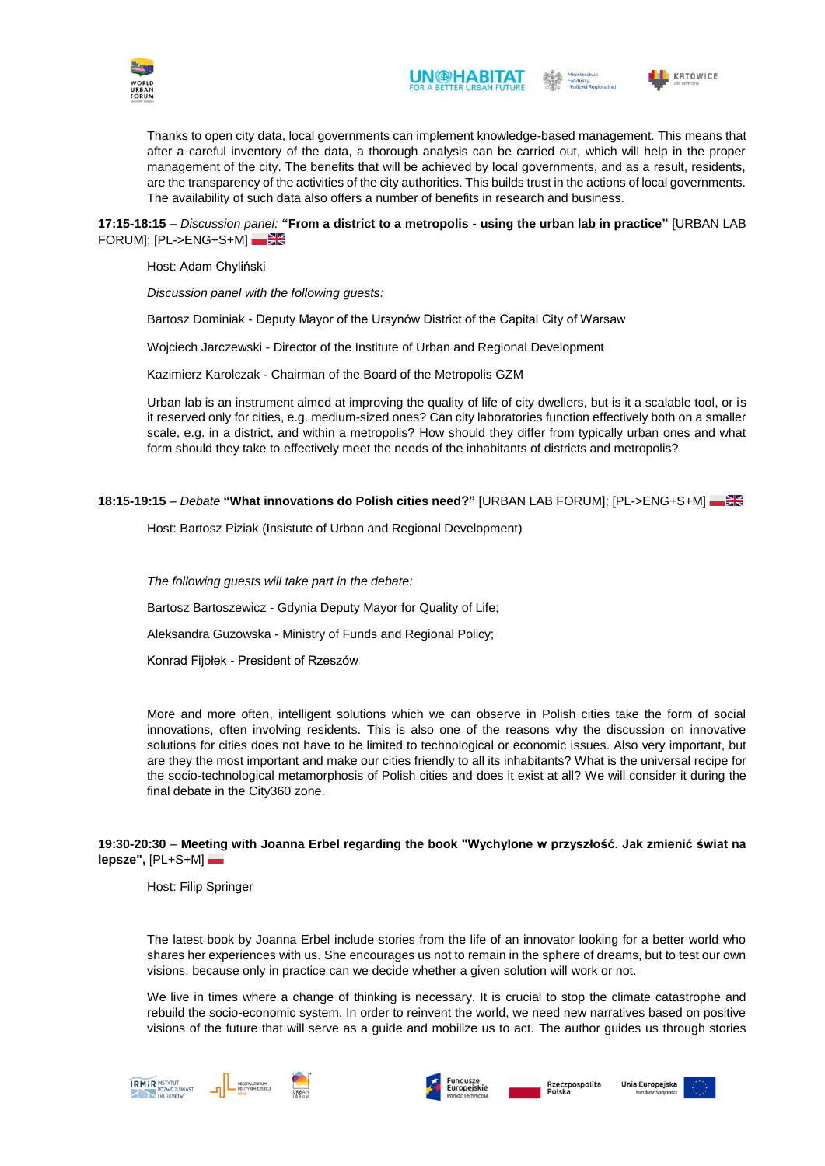



Thanks to open city data, local governments can implement knowledge-based management. This means that after a careful inventory of the data, a thorough analysis can be carried out, which will help in the proper management of the city. The benefits that will be achieved by local governments, and as a result, residents, are the transparency of the activities of the city authorities. This builds trust in the actions of local governments. The availability of such data also offers a number of benefits in research and business.

## **17:15-18:15** – *Discussion panel:* **"From a district to a metropolis - using the urban lab in practice"** [URBAN LAB FORUM]; [PL->ENG+S+M]

Host: Adam Chyliński

*Discussion panel with the following guests:* 

Bartosz Dominiak - Deputy Mayor of the Ursynów District of the Capital City of Warsaw

Wojciech Jarczewski - Director of the Institute of Urban and Regional Development

Kazimierz Karolczak - Chairman of the Board of the Metropolis GZM

Urban lab is an instrument aimed at improving the quality of life of city dwellers, but is it a scalable tool, or is it reserved only for cities, e.g. medium-sized ones? Can city laboratories function effectively both on a smaller scale, e.g. in a district, and within a metropolis? How should they differ from typically urban ones and what form should they take to effectively meet the needs of the inhabitants of districts and metropolis?

#### **18:15-19:15** – *Debate* **"What innovations do Polish cities need?"** [URBAN LAB FORUM]; [PL->ENG+S+M]

Host: Bartosz Piziak (Insistute of Urban and Regional Development)

*The following guests will take part in the debate:* 

Bartosz Bartoszewicz - Gdynia Deputy Mayor for Quality of Life;

Aleksandra Guzowska - Ministry of Funds and Regional Policy;

Konrad Fijołek - President of Rzeszów

More and more often, intelligent solutions which we can observe in Polish cities take the form of social innovations, often involving residents. This is also one of the reasons why the discussion on innovative solutions for cities does not have to be limited to technological or economic issues. Also very important, but are they the most important and make our cities friendly to all its inhabitants? What is the universal recipe for the socio-technological metamorphosis of Polish cities and does it exist at all? We will consider it during the final debate in the City360 zone.

## **19:30-20:30** – **Meeting with Joanna Erbel regarding the book "Wychylone w przyszłość. Jak zmienić świat na lepsze",** [PL+S+M]

Host: Filip Springer

The latest book by Joanna Erbel include stories from the life of an innovator looking for a better world who shares her experiences with us. She encourages us not to remain in the sphere of dreams, but to test our own visions, because only in practice can we decide whether a given solution will work or not.

We live in times where a change of thinking is necessary. It is crucial to stop the climate catastrophe and rebuild the socio-economic system. In order to reinvent the world, we need new narratives based on positive visions of the future that will serve as a guide and mobilize us to act. The author guides us through stories









Rzeczpospolita<br>Polska Unia Europejska

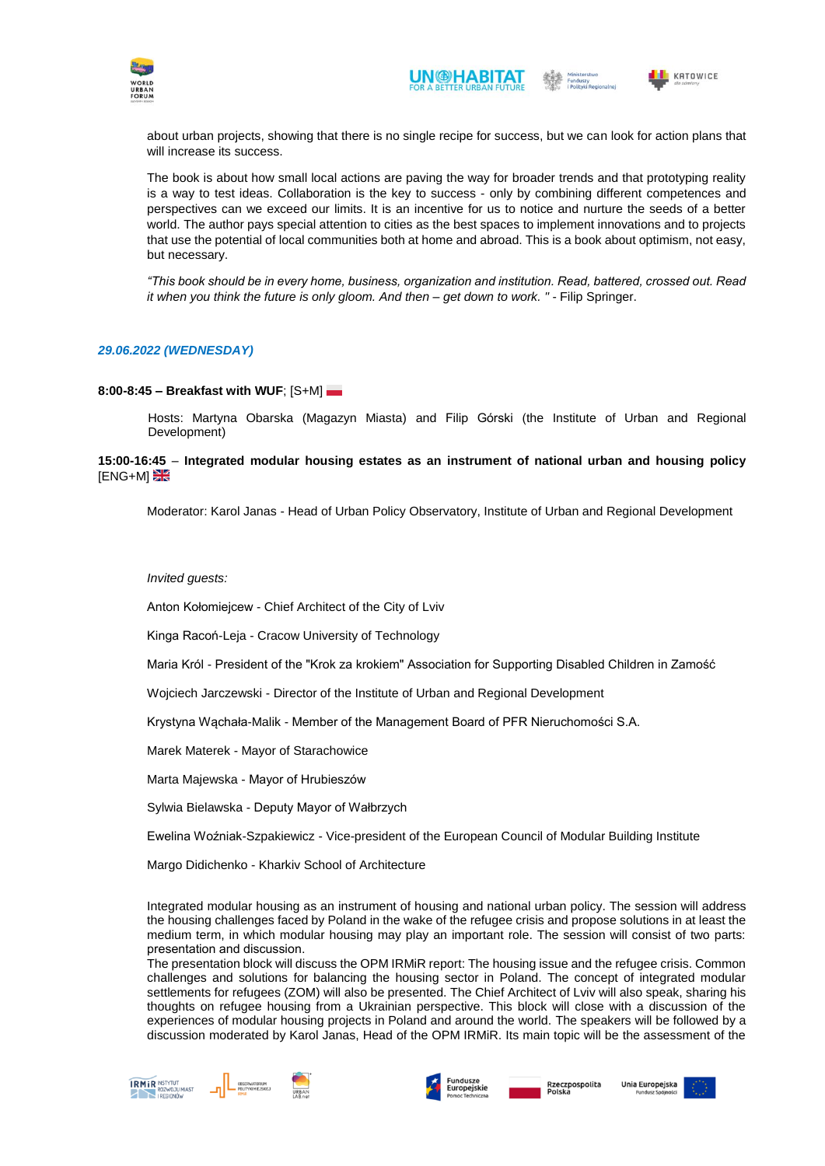





about urban projects, showing that there is no single recipe for success, but we can look for action plans that will increase its success.

The book is about how small local actions are paving the way for broader trends and that prototyping reality is a way to test ideas. Collaboration is the key to success - only by combining different competences and perspectives can we exceed our limits. It is an incentive for us to notice and nurture the seeds of a better world. The author pays special attention to cities as the best spaces to implement innovations and to projects that use the potential of local communities both at home and abroad. This is a book about optimism, not easy, but necessary.

*"This book should be in every home, business, organization and institution. Read, battered, crossed out. Read it when you think the future is only gloom. And then – get down to work. "* - Filip Springer.

#### *29.06.2022 (WEDNESDAY)*

#### **8:00-8:45 – Breakfast with WUF**; [S+M]

Hosts: Martyna Obarska (Magazyn Miasta) and Filip Górski (the Institute of Urban and Regional Development)

**15:00-16:45** – **Integrated modular housing estates as an instrument of national urban and housing policy ENG+MI** 

Moderator: Karol Janas - Head of Urban Policy Observatory, Institute of Urban and Regional Development

#### *Invited guests:*

Anton Kołomiejcew - Chief Architect of the City of Lviv

Kinga Racoń-Leja - Cracow University of Technology

Maria Król - President of the "Krok za krokiem" Association for Supporting Disabled Children in Zamość

Wojciech Jarczewski - Director of the Institute of Urban and Regional Development

Krystyna Wąchała-Malik - Member of the Management Board of PFR Nieruchomości S.A.

Marek Materek - Mayor of Starachowice

Marta Majewska - Mayor of Hrubieszów

Sylwia Bielawska - Deputy Mayor of Wałbrzych

Ewelina Woźniak-Szpakiewicz - Vice-president of the European Council of Modular Building Institute

Margo Didichenko - Kharkiv School of Architecture

Integrated modular housing as an instrument of housing and national urban policy. The session will address the housing challenges faced by Poland in the wake of the refugee crisis and propose solutions in at least the medium term, in which modular housing may play an important role. The session will consist of two parts: presentation and discussion. 

The presentation block will discuss the OPM IRMiR report: The housing issue and the refugee crisis. Common challenges and solutions for balancing the housing sector in Poland. The concept of integrated modular settlements for refugees (ZOM) will also be presented. The Chief Architect of Lviv will also speak, sharing his thoughts on refugee housing from a Ukrainian perspective. This block will close with a discussion of the experiences of modular housing projects in Poland and around the world. The speakers will be followed by a discussion moderated by Karol Janas, Head of the OPM IRMiR. Its main topic will be the assessment of the